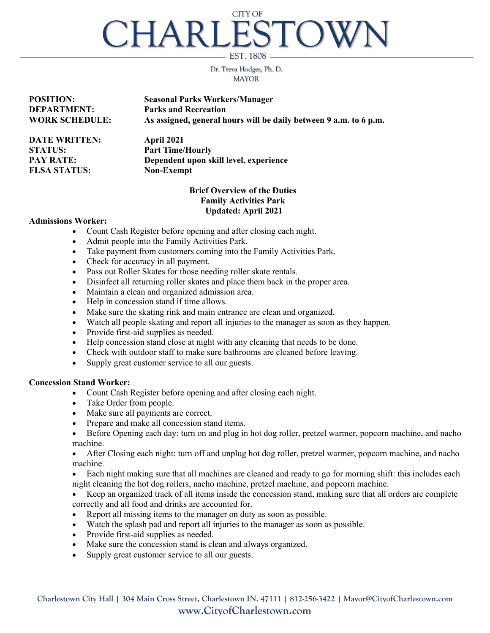# CHARLESTOW EST. 1808 CITY OF

Dr. Treva Hodges, Ph. D. MAYOR

| <b>POSITION:</b>      | <b>Seasonal Parks Workers/Manager</b>                             |
|-----------------------|-------------------------------------------------------------------|
| <b>DEPARTMENT:</b>    | <b>Parks and Recreation</b>                                       |
| <b>WORK SCHEDULE:</b> | As assigned, general hours will be daily between 9 a.m. to 6 p.m. |

**DATE WRITTEN: April 2021 STATUS: Part Time/Hourly FLSA STATUS: Non-Exempt**

**PAY RATE: Dependent upon skill level, experience**

## **Brief Overview of the Duties Family Activities Park Updated: April 2021**

#### **Admissions Worker:**

- Count Cash Register before opening and after closing each night.
- Admit people into the Family Activities Park.
- Take payment from customers coming into the Family Activities Park.
- Check for accuracy in all payment.
- Pass out Roller Skates for those needing roller skate rentals.
- Disinfect all returning roller skates and place them back in the proper area.
- Maintain a clean and organized admission area.
- Help in concession stand if time allows.
- Make sure the skating rink and main entrance are clean and organized.
- Watch all people skating and report all injuries to the manager as soon as they happen.
- Provide first-aid supplies as needed.
- Help concession stand close at night with any cleaning that needs to be done.
- Check with outdoor staff to make sure bathrooms are cleaned before leaving.
- Supply great customer service to all our guests.

#### **Concession Stand Worker:**

- Count Cash Register before opening and after closing each night.
- Take Order from people.
- Make sure all payments are correct.
- Prepare and make all concession stand items.
- Before Opening each day: turn on and plug in hot dog roller, pretzel warmer, popcorn machine, and nacho machine.

• After Closing each night: turn off and unplug hot dog roller, pretzel warmer, popcorn machine, and nacho machine.

• Each night making sure that all machines are cleaned and ready to go for morning shift: this includes each night cleaning the hot dog rollers, nacho machine, pretzel machine, and popcorn machine.

• Keep an organized track of all items inside the concession stand, making sure that all orders are complete correctly and all food and drinks are accounted for.

- Report all missing items to the manager on duty as soon as possible.
- Watch the splash pad and report all injuries to the manager as soon as possible.
- Provide first-aid supplies as needed.
- Make sure the concession stand is clean and always organized.
- Supply great customer service to all our guests.

**Charlestown City Hall | 304 Main Cross Street, Charlestown IN. 47111 | 812-256-3422 | Mayor@CityofCharlestown.com www.CityofCharlestown.com**